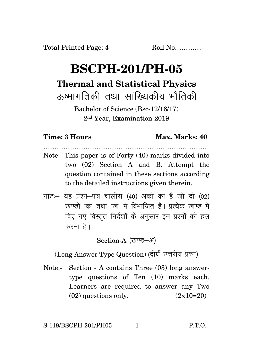## **BSCPH-201/PH-05 Thermal and Statistical Physics** रुष्मागतिकी तथा सांख्यिकीय भौतिक<u>ी</u>

Bachelor of Science (Bsc-12/16/17) 2nd Year, Examination-2019

## **Time: 3 Hours Max. Marks: 40** …………………………………………………………………

- Note:- This paper is of Forty (40) marks divided into two (02) Section A and B. Attempt the question contained in these sections according to the detailed instructions given therein.
- $\vec{\eta}$ नोटः– यह प्रश्न–पत्र चालीस (40) अंकों का है जो दो (02) खण्डों 'क' तथा 'ख' में विभाजित है। प्रत्येक खण्ड में दिए गए विस्तृत निर्देशों के अनुसार इन प्रश्नों को हल करना $\hat{g}$ ।

Section-A (खण्ड-अ)

(Long Answer Type Question) (दीर्घ उत्तरीय प्रश्न)

Note:- Section - A contains Three (03) long answertype questions of Ten (10) marks each. Learners are required to answer any Two  $(02)$  questions only.  $(2 \times 10=20)$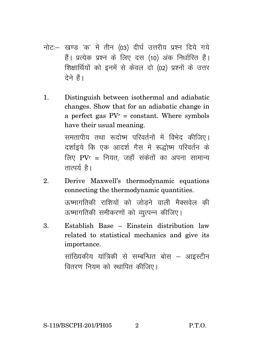- नोट:- खण्ड 'क' में तीन (03) दीर्घ उत्तरीय प्रश्न दिये गये हैं। प्रत्येक प्रश्न के लिए दस (10) अंक निर्धारित हैं। शिक्षार्थियों को इनमें से केवल दो (02) प्रश्नों के उत्तर टेने हैं।
- Distinguish between isothermal and adiabatic  $1<sub>1</sub>$ changes. Show that for an adiabatic change in a perfect gas  $PV<sup>r</sup>$  = constant. Where symbols have their usual meaning.

समतापीय तथा रूदोष्म परिवर्तनों में विभेद कीजिए। दर्शाइये कि एक आदर्श गैस में रूद्धोष्म परिवर्तन के लिए  $PVr = f$ नियत जहाँ संकेतों का अपना सामान्य तात्पर्य $\hat{\mathbf{z}}$ ।

- $\mathbf{Q}$ Derive Maxwell's thermodynamic equations connecting the thermodynamic quantities. ऊष्मागतिकी राशियों को जोड़ने वाली मैक्सवेल की ऊष्मागतिकी समीकरणों को व्यत्पन्न कीजिए।
- Establish Base Einstein distribution law 3. related to statistical mechanics and give its importance.

सांख्यिकीय यांत्रिकी से सम्बन्धित बोस – आइस्टीन वितरण नियम को स्थापित कीजिए।

 $\mathbf{2}$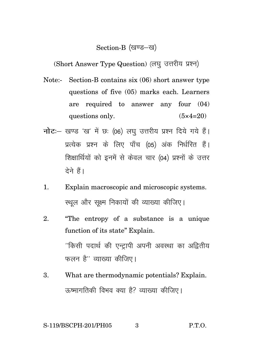## Section-B (खण्ड-ख)

(Short Answer Type Question) (लघु उत्तरीय प्रश्न)

- Note:- Section-B contains six (06) short answer type questions of five (05) marks each. Learners are required to answer any four (04) questions only.  $(5 \times 4=20)$
- **नोट**: खण्ड 'ख' में छः (06) लघु उत्तरीय प्रश्न दिये गये हैं। प्रत्येक प्रश्न के लिए पाँच (05) अंक निर्धरित हैं। शिक्षार्थियों को इनमें से केवल चार (04) प्रश्नों के उत्तर देने हैं।
- 1. Explain macroscopic and microscopic systems. स्थल और सक्ष्म निकायों की व्याख्या कीजिए।
- 2. "The entropy of a substance is a unique function of its state" Explain. ''किसी पदार्थ की एन्ट्रापी अपनी अवस्था का अद्वितीय फलन $\hat{\mathcal{B}}''$  व्याख्या कीजिए।
- 3. What are thermodynamic potentials? Explain. 'ऊष्मागतिकी विभव क्या है? व्याख्या कीजिए।

$$
S-119/BSCPH-201/PH05 \t\t 3 \t P.T.O.
$$